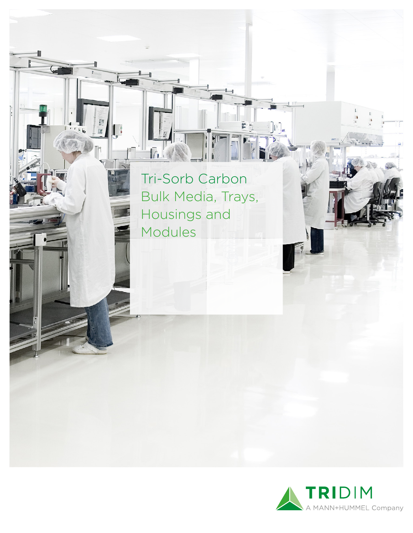Tri-Sorb Carbon Bulk Media, Trays, Housings and Modules

 $\bar{\mathbb{F}}$ 

ᆜ F

 $\begin{array}{c} \hline \hline \hline \hline \hline \hline \hline \hline \hline \hline \hline \hline \end{array}$ 

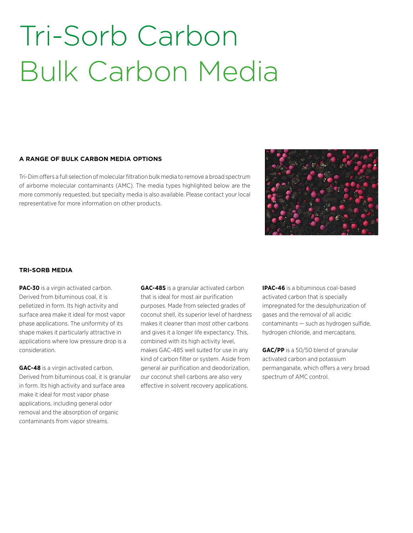### Tri-Sorb Carbon Bulk Carbon Media

#### **A RANGE OF BULK CARBON MEDIA OPTIONS**

Tri-Dim offers a full selection of molecular filtration bulk media to remove a broad spectrum of airborne molecular contaminants (AMC). The media types highlighted below are the more commonly requested, but specialty media is also available. Please contact your local representative for more information on other products.



#### **TRI-SORB MEDIA**

**PAC-30** is a virgin activated carbon. Derived from bituminous coal, it is pelletized in form. Its high activity and surface area make it ideal for most vapor phase applications. The uniformity of its shape makes it particularly attractive in applications where low pressure drop is a consideration.

**GAC-48** is a virgin activated carbon. Derived from bituminous coal, it is granular in form. Its high activity and surface area make it ideal for most vapor phase applications, including general odor removal and the absorption of organic contaminants from vapor streams.

**GAC-48S** is a granular activated carbon that is ideal for most air purification purposes. Made from selected grades of coconut shell, its superior level of hardness makes it cleaner than most other carbons and gives it a longer life expectancy. This, combined with its high activity level, makes GAC-48S well suited for use in any kind of carbon filter or system. Aside from general air purification and deodorization, our coconut shell carbons are also very effective in solvent recovery applications.

**IPAC-46** is a bituminous coal-based activated carbon that is specially impregnated for the desulphurization of gases and the removal of all acidic contaminants — such as hydrogen sulfide, hydrogen chloride, and mercaptans.

**GAC/PP** is a 50/50 blend of granular activated carbon and potassium permanganate, which offers a very broad spectrum of AMC control.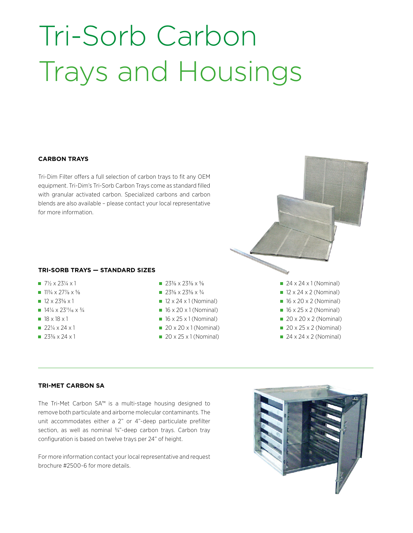# Tri-Sorb Carbon Trays and Housings

#### **CARBON TRAYS**

Tri-Dim Filter offers a full selection of carbon trays to fit any OEM equipment. Tri-Dim's Tri-Sorb Carbon Trays come as standard filled with granular activated carbon. Specialized carbons and carbon blends are also available – please contact your local representative for more information.

#### **TRI-SORB TRAYS — STANDARD SIZES**

- $7\frac{1}{2} \times 23\frac{1}{4} \times 1$
- $11\frac{3}{4} \times 27\frac{7}{8} \times \frac{5}{8}$
- $12 \times 23\frac{5}{8} \times 1$
- $14\frac{1}{4} \times 23\frac{11}{16} \times \frac{3}{4}$
- $18 \times 18 \times 1$
- $22\frac{1}{4} \times 24 \times 1$
- $23\frac{3}{8} \times 24 \times 1$
- $\blacksquare$  23<sup>3</sup>/<sub>8</sub> x 23<sup>3</sup>/<sub>8</sub> x <sup>5</sup>/<sub>8</sub>
- $\blacksquare$  23<sup>5</sup>/<sub>8</sub> x 23<sup>5</sup>/<sub>8</sub> x <sup>3</sup>/<sub>4</sub>
- $\blacksquare$  12 x 24 x 1 (Nominal)
- $\blacksquare$  16 x 20 x 1 (Nominal)
- $\blacksquare$  16 x 25 x 1 (Nominal)
- $\blacksquare$  20 x 20 x 1 (Nominal)
- $\Box$  20 x 25 x 1 (Nominal)

 $\blacksquare$  24 x 24 x 1 (Nominal)  $\blacksquare$  12 x 24 x 2 (Nominal)  $\blacksquare$  16 x 20 x 2 (Nominal)  $\blacksquare$  16 x 25 x 2 (Nominal)  $\Box$  20 x 20 x 2 (Nominal)  $\blacksquare$  20 x 25 x 2 (Nominal)  $\Box$  24 x 24 x 2 (Nominal)

#### **TRI-MET CARBON SA**

The Tri-Met Carbon SA™ is a multi-stage housing designed to remove both particulate and airborne molecular contaminants. The unit accommodates either a 2" or 4"-deep particulate prefilter section, as well as nominal 3/4"-deep carbon trays. Carbon tray configuration is based on twelve trays per 24" of height.

For more information contact your local representative and request brochure #2500-6 for more details.